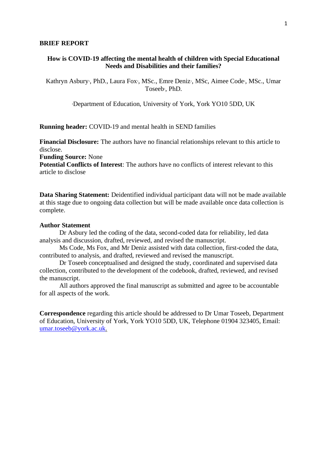#### **BRIEF REPORT**

## **How is COVID-19 affecting the mental health of children with Special Educational Needs and Disabilities and their families?**

Kathryn Asbury<sup>1</sup>, PhD., Laura Fox<sup>1</sup>, MSc., Emre Deniz<sup>1</sup>, MSc, Aimee Code<sup>1</sup>, MSc., Umar Toseeb<sup>1</sup>, PhD.

<sup>1</sup>Department of Education, University of York, York YO10 5DD, UK

**Running header:** COVID-19 and mental health in SEND families

**Financial Disclosure:** The authors have no financial relationships relevant to this article to disclose.

**Funding Source:** None

**Potential Conflicts of Interest**: The authors have no conflicts of interest relevant to this article to disclose

**Data Sharing Statement:** Deidentified individual participant data will not be made available at this stage due to ongoing data collection but will be made available once data collection is complete.

## **Author Statement**

Dr Asbury led the coding of the data, second-coded data for reliability, led data analysis and discussion, drafted, reviewed, and revised the manuscript.

Ms Code, Ms Fox, and Mr Deniz assisted with data collection, first-coded the data, contributed to analysis, and drafted, reviewed and revised the manuscript.

Dr Toseeb conceptualised and designed the study, coordinated and supervised data collection, contributed to the development of the codebook, drafted, reviewed, and revised the manuscript.

All authors approved the final manuscript as submitted and agree to be accountable for all aspects of the work.

**Correspondence** regarding this article should be addressed to Dr Umar Toseeb, Department of Education, University of York, York YO10 5DD, UK, Telephone 01904 323405, Email: [umar.toseeb@york.ac.uk.](mailto:umar.toseeb@york.ac.uk)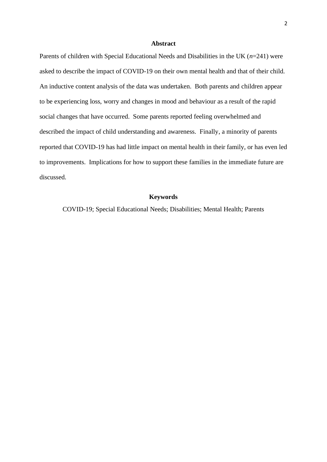#### **Abstract**

Parents of children with Special Educational Needs and Disabilities in the UK (*n*=241) were asked to describe the impact of COVID-19 on their own mental health and that of their child. An inductive content analysis of the data was undertaken. Both parents and children appear to be experiencing loss, worry and changes in mood and behaviour as a result of the rapid social changes that have occurred. Some parents reported feeling overwhelmed and described the impact of child understanding and awareness. Finally, a minority of parents reported that COVID-19 has had little impact on mental health in their family, or has even led to improvements. Implications for how to support these families in the immediate future are discussed.

## **Keywords**

COVID-19; Special Educational Needs; Disabilities; Mental Health; Parents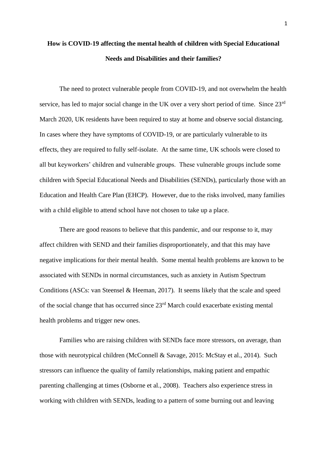# **How is COVID-19 affecting the mental health of children with Special Educational Needs and Disabilities and their families?**

The need to protect vulnerable people from COVID-19, and not overwhelm the health service, has led to major social change in the UK over a very short period of time. Since 23<sup>rd</sup> March 2020, UK residents have been required to stay at home and observe social distancing. In cases where they have symptoms of COVID-19, or are particularly vulnerable to its effects, they are required to fully self-isolate. At the same time, UK schools were closed to all but keyworkers' children and vulnerable groups. These vulnerable groups include some children with Special Educational Needs and Disabilities (SENDs), particularly those with an Education and Health Care Plan (EHCP). However, due to the risks involved, many families with a child eligible to attend school have not chosen to take up a place.

There are good reasons to believe that this pandemic, and our response to it, may affect children with SEND and their families disproportionately, and that this may have negative implications for their mental health. Some mental health problems are known to be associated with SENDs in normal circumstances, such as anxiety in Autism Spectrum Conditions (ASCs: van Steensel & Heeman, 2017). It seems likely that the scale and speed of the social change that has occurred since 23rd March could exacerbate existing mental health problems and trigger new ones.

Families who are raising children with SENDs face more stressors, on average, than those with neurotypical children (McConnell & Savage, 2015: McStay et al., 2014). Such stressors can influence the quality of family relationships, making patient and empathic parenting challenging at times (Osborne et al., 2008). Teachers also experience stress in working with children with SENDs, leading to a pattern of some burning out and leaving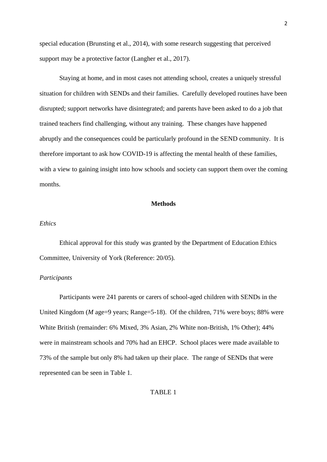special education (Brunsting et al., 2014), with some research suggesting that perceived support may be a protective factor (Langher et al., 2017).

Staying at home, and in most cases not attending school, creates a uniquely stressful situation for children with SENDs and their families. Carefully developed routines have been disrupted; support networks have disintegrated; and parents have been asked to do a job that trained teachers find challenging, without any training. These changes have happened abruptly and the consequences could be particularly profound in the SEND community. It is therefore important to ask how COVID-19 is affecting the mental health of these families, with a view to gaining insight into how schools and society can support them over the coming months.

## **Methods**

#### *Ethics*

Ethical approval for this study was granted by the Department of Education Ethics Committee, University of York (Reference: 20/05).

#### *Participants*

Participants were 241 parents or carers of school-aged children with SENDs in the United Kingdom (*M* age=9 years; Range=5-18). Of the children, 71% were boys; 88% were White British (remainder: 6% Mixed, 3% Asian, 2% White non-British, 1% Other); 44% were in mainstream schools and 70% had an EHCP. School places were made available to 73% of the sample but only 8% had taken up their place. The range of SENDs that were represented can be seen in Table 1.

#### TABLE 1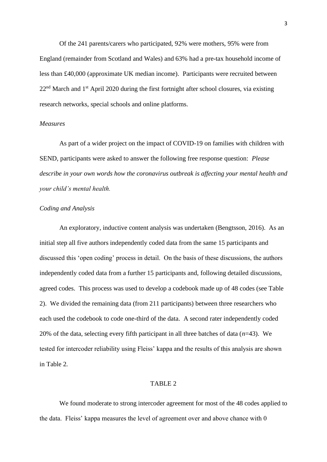Of the 241 parents/carers who participated, 92% were mothers, 95% were from England (remainder from Scotland and Wales) and 63% had a pre-tax household income of less than £40,000 (approximate UK median income). Participants were recruited between  $22<sup>nd</sup>$  March and 1<sup>st</sup> April 2020 during the first fortnight after school closures, via existing research networks, special schools and online platforms.

## *Measures*

As part of a wider project on the impact of COVID-19 on families with children with SEND, participants were asked to answer the following free response question: *Please describe in your own words how the coronavirus outbreak is affecting your mental health and your child's mental health.*

#### *Coding and Analysis*

An exploratory, inductive content analysis was undertaken (Bengtsson, 2016). As an initial step all five authors independently coded data from the same 15 participants and discussed this 'open coding' process in detail. On the basis of these discussions, the authors independently coded data from a further 15 participants and, following detailed discussions, agreed codes. This process was used to develop a codebook made up of 48 codes (see Table 2). We divided the remaining data (from 211 participants) between three researchers who each used the codebook to code one-third of the data. A second rater independently coded 20% of the data, selecting every fifth participant in all three batches of data (*n*=43). We tested for intercoder reliability using Fleiss' kappa and the results of this analysis are shown in Table 2.

#### TABLE 2

We found moderate to strong intercoder agreement for most of the 48 codes applied to the data. Fleiss' kappa measures the level of agreement over and above chance with 0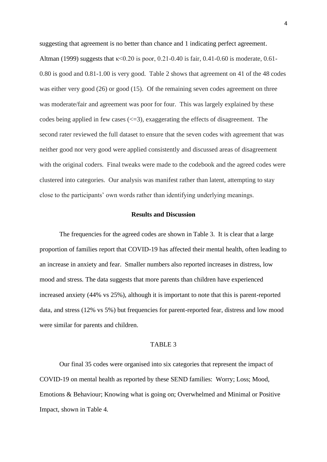suggesting that agreement is no better than chance and 1 indicating perfect agreement. Altman (1999) suggests that  $\kappa$ <0.20 is poor, 0.21-0.40 is fair, 0.41-0.60 is moderate, 0.61-0.80 is good and 0.81-1.00 is very good. Table 2 shows that agreement on 41 of the 48 codes was either very good (26) or good (15). Of the remaining seven codes agreement on three was moderate/fair and agreement was poor for four. This was largely explained by these codes being applied in few cases  $\left(\langle -3 \rangle\right)$ , exaggerating the effects of disagreement. The second rater reviewed the full dataset to ensure that the seven codes with agreement that was neither good nor very good were applied consistently and discussed areas of disagreement with the original coders. Final tweaks were made to the codebook and the agreed codes were clustered into categories. Our analysis was manifest rather than latent, attempting to stay close to the participants' own words rather than identifying underlying meanings.

## **Results and Discussion**

The frequencies for the agreed codes are shown in Table 3. It is clear that a large proportion of families report that COVID-19 has affected their mental health, often leading to an increase in anxiety and fear. Smaller numbers also reported increases in distress, low mood and stress. The data suggests that more parents than children have experienced increased anxiety (44% vs 25%), although it is important to note that this is parent-reported data, and stress (12% vs 5%) but frequencies for parent-reported fear, distress and low mood were similar for parents and children.

#### TABLE 3

Our final 35 codes were organised into six categories that represent the impact of COVID-19 on mental health as reported by these SEND families: Worry; Loss; Mood, Emotions & Behaviour; Knowing what is going on; Overwhelmed and Minimal or Positive Impact, shown in Table 4.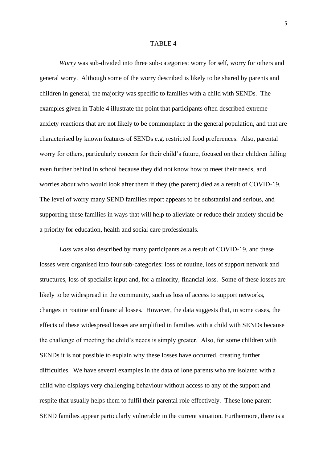#### TABLE 4

*Worry* was sub-divided into three sub-categories: worry for self, worry for others and general worry. Although some of the worry described is likely to be shared by parents and children in general, the majority was specific to families with a child with SENDs. The examples given in Table 4 illustrate the point that participants often described extreme anxiety reactions that are not likely to be commonplace in the general population, and that are characterised by known features of SENDs e.g. restricted food preferences. Also, parental worry for others, particularly concern for their child's future, focused on their children falling even further behind in school because they did not know how to meet their needs, and worries about who would look after them if they (the parent) died as a result of COVID-19. The level of worry many SEND families report appears to be substantial and serious, and supporting these families in ways that will help to alleviate or reduce their anxiety should be a priority for education, health and social care professionals.

*Loss* was also described by many participants as a result of COVID-19, and these losses were organised into four sub-categories: loss of routine, loss of support network and structures, loss of specialist input and, for a minority, financial loss. Some of these losses are likely to be widespread in the community, such as loss of access to support networks, changes in routine and financial losses. However, the data suggests that, in some cases, the effects of these widespread losses are amplified in families with a child with SENDs because the challenge of meeting the child's needs is simply greater. Also, for some children with SENDs it is not possible to explain why these losses have occurred, creating further difficulties. We have several examples in the data of lone parents who are isolated with a child who displays very challenging behaviour without access to any of the support and respite that usually helps them to fulfil their parental role effectively. These lone parent SEND families appear particularly vulnerable in the current situation. Furthermore, there is a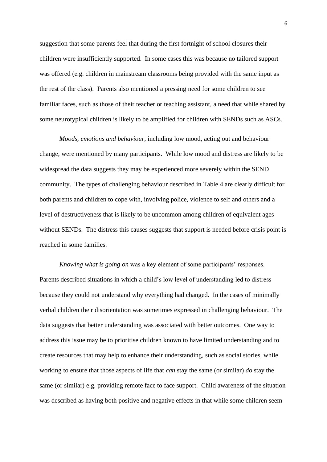suggestion that some parents feel that during the first fortnight of school closures their children were insufficiently supported. In some cases this was because no tailored support was offered (e.g. children in mainstream classrooms being provided with the same input as the rest of the class). Parents also mentioned a pressing need for some children to see familiar faces, such as those of their teacher or teaching assistant, a need that while shared by some neurotypical children is likely to be amplified for children with SENDs such as ASCs.

*Moods, emotions and behaviour*, including low mood, acting out and behaviour change, were mentioned by many participants. While low mood and distress are likely to be widespread the data suggests they may be experienced more severely within the SEND community. The types of challenging behaviour described in Table 4 are clearly difficult for both parents and children to cope with, involving police, violence to self and others and a level of destructiveness that is likely to be uncommon among children of equivalent ages without SENDs. The distress this causes suggests that support is needed before crisis point is reached in some families.

*Knowing what is going on* was a key element of some participants' responses. Parents described situations in which a child's low level of understanding led to distress because they could not understand why everything had changed. In the cases of minimally verbal children their disorientation was sometimes expressed in challenging behaviour. The data suggests that better understanding was associated with better outcomes. One way to address this issue may be to prioritise children known to have limited understanding and to create resources that may help to enhance their understanding, such as social stories, while working to ensure that those aspects of life that *can* stay the same (or similar) *do* stay the same (or similar) e.g. providing remote face to face support. Child awareness of the situation was described as having both positive and negative effects in that while some children seem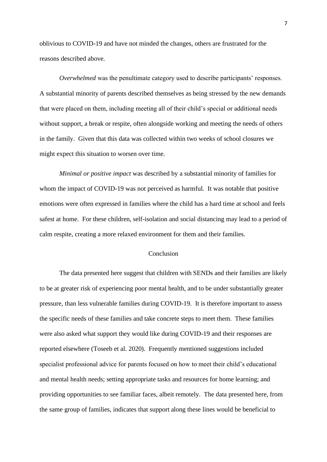oblivious to COVID-19 and have not minded the changes, others are frustrated for the reasons described above.

*Overwhelmed* was the penultimate category used to describe participants' responses. A substantial minority of parents described themselves as being stressed by the new demands that were placed on them, including meeting all of their child's special or additional needs without support, a break or respite, often alongside working and meeting the needs of others in the family. Given that this data was collected within two weeks of school closures we might expect this situation to worsen over time.

*Minimal or positive impact* was described by a substantial minority of families for whom the impact of COVID-19 was not perceived as harmful. It was notable that positive emotions were often expressed in families where the child has a hard time at school and feels safest at home. For these children, self-isolation and social distancing may lead to a period of calm respite, creating a more relaxed environment for them and their families.

## Conclusion

The data presented here suggest that children with SENDs and their families are likely to be at greater risk of experiencing poor mental health, and to be under substantially greater pressure, than less vulnerable families during COVID-19. It is therefore important to assess the specific needs of these families and take concrete steps to meet them. These families were also asked what support they would like during COVID-19 and their responses are reported elsewhere (Toseeb et al. 2020). Frequently mentioned suggestions included specialist professional advice for parents focused on how to meet their child's educational and mental health needs; setting appropriate tasks and resources for home learning; and providing opportunities to see familiar faces, albeit remotely. The data presented here, from the same group of families, indicates that support along these lines would be beneficial to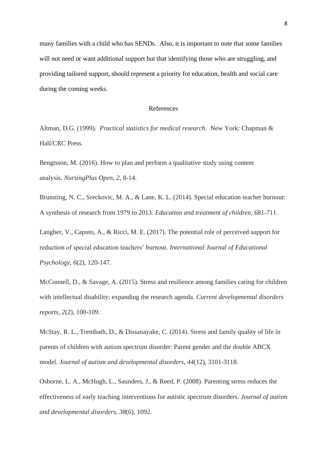many families with a child who has SENDs. Also, it is important to note that some families will not need or want additional support but that identifying those who are struggling, and providing tailored support, should represent a priority for education, health and social care during the coming weeks.

#### References

Altman, D.G. (1999). *Practical statistics for medical research.* New York: Chapman & Hall/CRC Press.

Bengtsson, M. (2016). How to plan and perform a qualitative study using content analysis. *NursingPlus Open*, *2*, 8-14.

Brunsting, N. C., Sreckovic, M. A., & Lane, K. L. (2014). Special education teacher burnout: A synthesis of research from 1979 to 2013. *Education and treatment of children*, 681-711.

Langher, V., Caputo, A., & Ricci, M. E. (2017). The potential role of perceived support for reduction of special education teachers' burnout. *International Journal of Educational Psychology*, *6*(2), 120-147.

McConnell, D., & Savage, A. (2015). Stress and resilience among families caring for children with intellectual disability: expanding the research agenda. *Current developmental disorders reports*, *2*(2), 100-109.

McStay, R. L., Trembath, D., & Dissanayake, C. (2014). Stress and family quality of life in parents of children with autism spectrum disorder: Parent gender and the double ABCX model. *Journal of autism and developmental disorders*, *44*(12), 3101-3118.

Osborne, L. A., McHugh, L., Saunders, J., & Reed, P. (2008). Parenting stress reduces the effectiveness of early teaching interventions for autistic spectrum disorders. *Journal of autism and developmental disorders*, *38*(6), 1092.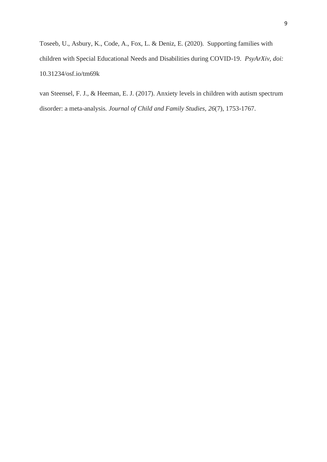Toseeb, U., Asbury, K., Code, A., Fox, L. & Deniz, E. (2020). Supporting families with children with Special Educational Needs and Disabilities during COVID-19. *PsyArXiv, doi:*  10.31234/osf.io/tm69k

van Steensel, F. J., & Heeman, E. J. (2017). Anxiety levels in children with autism spectrum disorder: a meta-analysis. *Journal of Child and Family Studies*, *26*(7), 1753-1767.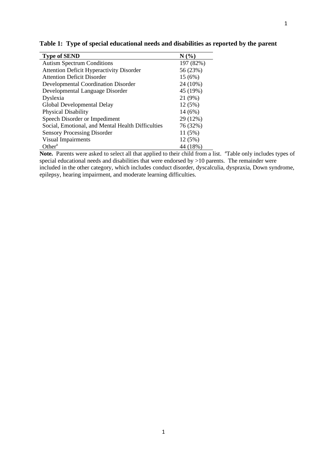| <b>Type of SEND</b>                               | N(%)      |
|---------------------------------------------------|-----------|
| <b>Autism Spectrum Conditions</b>                 | 197 (82%) |
| <b>Attention Deficit Hyperactivity Disorder</b>   | 56 (23%)  |
| <b>Attention Deficit Disorder</b>                 | 15(6%)    |
| <b>Developmental Coordination Disorder</b>        | 24 (10%)  |
| Developmental Language Disorder                   | 45 (19%)  |
| Dyslexia                                          | 21 (9%)   |
| Global Developmental Delay                        | 12(5%)    |
| <b>Physical Disability</b>                        | 14(6%)    |
| Speech Disorder or Impediment                     | 29 (12%)  |
| Social, Emotional, and Mental Health Difficulties | 76 (32%)  |
| <b>Sensory Processing Disorder</b>                | 11(5%)    |
| Visual Impairments                                | 12(5%)    |
| Other <sup>a</sup>                                | 44 (18%)  |

**Table 1: Type of special educational needs and disabilities as reported by the parent**

Note. Parents were asked to select all that applied to their child from a list. <sup>a</sup>Table only includes types of special educational needs and disabilities that were endorsed by >10 parents. The remainder were included in the other category, which includes conduct disorder, dyscalculia, dyspraxia, Down syndrome, epilepsy, hearing impairment, and moderate learning difficulties.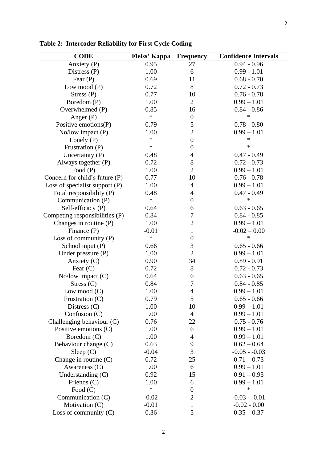| <b>CODE</b>                      | Fleiss' Kappa  | <b>Frequency</b> | <b>Confidence Intervals</b> |
|----------------------------------|----------------|------------------|-----------------------------|
| Anxiety (P)                      | 0.95           | 27               | $0.94 - 0.96$               |
| Distress (P)                     | 1.00           | 6                | $0.99 - 1.01$               |
| Fear $(P)$                       | 0.69           | 11               | $0.68 - 0.70$               |
| Low mood $(P)$                   | 0.72           | 8                | $0.72 - 0.73$               |
| Stress $(P)$                     | 0.77           | 10               | $0.76 - 0.78$               |
| Boredom (P)                      | 1.00           | $\overline{2}$   | $0.99 - 1.01$               |
| Overwhelmed (P)                  | 0.85           | 16               | $0.84 - 0.86$               |
| Anger $(P)$                      | $\ast$         | $\boldsymbol{0}$ | $\ast$                      |
| Positive emotions(P)             | 0.79           | 5                | $0.78 - 0.80$               |
| $No/low$ impact $(P)$            | 1.00           | $\overline{2}$   | $0.99 - 1.01$               |
| Lonely $(P)$                     | $\ast$         | $\boldsymbol{0}$ | $\ast$                      |
| Frustration (P)                  | $\ast$         | $\boldsymbol{0}$ | $\ast$                      |
| Uncertainty $(P)$                | 0.48           | $\overline{4}$   | $0.47 - 0.49$               |
| Always together (P)              | 0.72           | 8                | $0.72 - 0.73$               |
| Food $(P)$                       | 1.00           | $\overline{2}$   | $0.99 - 1.01$               |
| Concern for child's future (P)   | 0.77           | 10               | $0.76 - 0.78$               |
| Loss of specialist support $(P)$ | 1.00           | $\overline{4}$   | $0.99 - 1.01$               |
| Total responsibility (P)         | 0.48           | $\overline{4}$   | $0.47 - 0.49$               |
| Communication (P)                | $\ast$         | $\boldsymbol{0}$ | $\ast$                      |
| Self-efficacy (P)                | 0.64           | 6                | $0.63 - 0.65$               |
| Competing responsibilities (P)   | 0.84           | $\overline{7}$   | $0.84 - 0.85$               |
| Changes in routine (P)           | 1.00           | $\overline{2}$   | $0.99 - 1.01$               |
| Finance $(P)$                    | $-0.01$        | $\mathbf{1}$     | $-0.02 - 0.00$              |
| Loss of community $(P)$          | $\ast$         | $\boldsymbol{0}$ | $\ast$                      |
| School input (P)                 | 0.66           | 3                | $0.65 - 0.66$               |
| Under pressure $(P)$             | 1.00           | $\overline{2}$   | $0.99 - 1.01$               |
| Anxiety $(C)$                    | 0.90           | 34               | $0.89 - 0.91$               |
| Fear $(C)$                       | 0.72           | 8                | $0.72 - 0.73$               |
| No/low impact $(C)$              | 0.64           | 6                | $0.63 - 0.65$               |
| Stress $(C)$                     | 0.84           | $\boldsymbol{7}$ | $0.84 - 0.85$               |
| Low mood $(C)$                   | 1.00           | $\overline{4}$   | $0.99 - 1.01$               |
| Frustration (C)                  | 0.79           | 5                | $0.65 - 0.66$               |
| Distress $(C)$                   | 1.00           | 10               | $0.99 - 1.01$               |
| Confusion (C)                    | 1.00           | $\overline{4}$   | $0.99 - 1.01$               |
| Challenging behaviour (C)        | 0.76           | 22               | $0.75 - 0.76$               |
| Positive emotions (C)            | 1.00           | 6                | $0.99 - 1.01$               |
| Boredom (C)                      | 1.00           | $\overline{4}$   | $0.99 - 1.01$               |
|                                  | 0.63           | 9                | $0.62 - 0.64$               |
| Behaviour change (C)             | $-0.04$        | 3                | $-0.05 - 0.03$              |
| Sleep $(C)$                      |                |                  |                             |
| Change in routine $(C)$          | 0.72           | 25               | $0.71 - 0.73$               |
| Awareness $(C)$                  | 1.00           | 6                | $0.99 - 1.01$               |
| Understanding (C)                | 0.92           | 15               | $0.91 - 0.93$               |
| Friends (C)                      | 1.00<br>$\ast$ | 6                | $0.99 - 1.01$<br>∗          |
| Food $(C)$                       |                | $\boldsymbol{0}$ |                             |
| Communication (C)                | $-0.02$        | $\overline{c}$   | $-0.03 - 0.01$              |
| Motivation (C)                   | $-0.01$        | $\mathbf{1}$     | $-0.02 - 0.00$              |
| Loss of community $(C)$          | 0.36           | 5                | $0.35 - 0.37$               |

**Table 2: Intercoder Reliability for First Cycle Coding**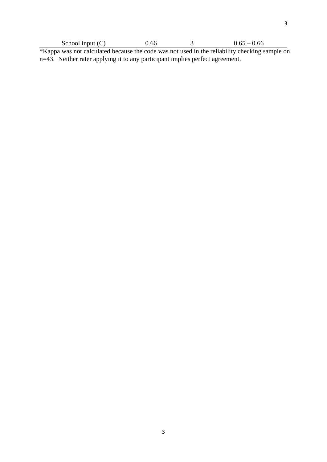\*Kappa was not calculated because the code was not used in the reliability checking sample on

3

n=43. Neither rater applying it to any participant implies perfect agreement.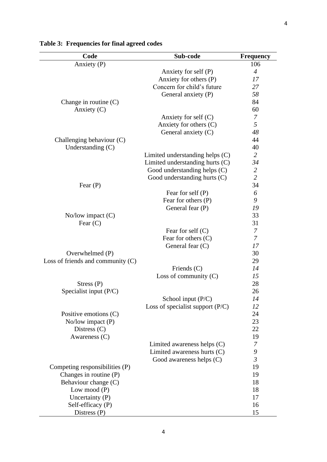| Code                                                     | Sub-code                           | <b>Frequency</b> |
|----------------------------------------------------------|------------------------------------|------------------|
| Anxiety (P)                                              |                                    | 106              |
|                                                          | Anxiety for self $(P)$             | $\overline{4}$   |
|                                                          | Anxiety for others (P)             | 17               |
|                                                          | Concern for child's future         | 27               |
|                                                          | General anxiety (P)                | 58               |
| Change in routine $(C)$                                  |                                    | 84               |
| Anxiety $(C)$                                            |                                    | 60               |
|                                                          | Anxiety for self $(C)$             | $\boldsymbol{7}$ |
|                                                          | Anxiety for others $(C)$           | 5                |
|                                                          | General anxiety (C)                | 48               |
| Challenging behaviour (C)                                |                                    | 44               |
| Understanding $(C)$                                      |                                    | 40               |
|                                                          | Limited understanding helps $(C)$  | $\overline{2}$   |
|                                                          | Limited understanding hurts $(C)$  | 34               |
|                                                          | Good understanding helps (C)       | $\mathfrak{2}$   |
|                                                          | Good understanding hurts (C)       | $\overline{2}$   |
| Fear $(P)$                                               |                                    | 34               |
|                                                          | Fear for self $(P)$                | 6                |
|                                                          | Fear for others $(P)$              | 9                |
|                                                          | General fear (P)                   | 19               |
| No/low impact $(C)$                                      |                                    | 33               |
| Fear $(C)$                                               |                                    | 31               |
|                                                          | Fear for self $(C)$                | $\overline{7}$   |
|                                                          | Fear for others $(C)$              | $\overline{7}$   |
|                                                          | General fear (C)                   | 17               |
| Overwhelmed (P)                                          |                                    | 30               |
| Loss of friends and community $(C)$                      |                                    | 29               |
|                                                          | Friends $(C)$                      | 14               |
|                                                          | Loss of community $(C)$            | 15               |
| Stress $(P)$                                             |                                    | 28               |
| Specialist input (P/C)                                   |                                    | 26               |
|                                                          | School input $(P/C)$               | 14               |
|                                                          | Loss of specialist support $(P/C)$ | 12<br>24         |
| Positive emotions $(C)$                                  |                                    | 23               |
| No/low impact (P)<br>Distress $(C)$                      |                                    | 22               |
| Awareness $(C)$                                          |                                    | 19               |
|                                                          | Limited awareness helps $(C)$      | $\boldsymbol{7}$ |
|                                                          | Limited awareness hurts $(C)$      | 9                |
|                                                          | Good awareness helps (C)           | $\mathfrak{Z}$   |
|                                                          |                                    | 19               |
| Competing responsibilities (P)<br>Changes in routine (P) |                                    | 19               |
| Behaviour change (C)                                     |                                    | 18               |
| Low mood $(P)$                                           |                                    | 18               |
| Uncertainty $(P)$                                        |                                    | 17               |
| Self-efficacy (P)                                        |                                    | 16               |
|                                                          |                                    |                  |
| Distress (P)                                             |                                    | 15               |

## **Table 3: Frequencies for final agreed codes**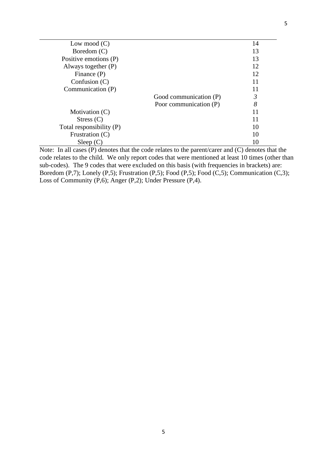|                        | 14 |
|------------------------|----|
|                        | 13 |
|                        | 13 |
|                        | 12 |
|                        | 12 |
|                        | 11 |
|                        | 11 |
| Good communication (P) | 3  |
| Poor communication (P) | 8  |
|                        | 11 |
|                        | 11 |
|                        | 10 |
|                        | 10 |
|                        |    |
|                        |    |

Note: In all cases (P) denotes that the code relates to the parent/carer and (C) denotes that the code relates to the child. We only report codes that were mentioned at least 10 times (other than sub-codes). The 9 codes that were excluded on this basis (with frequencies in brackets) are: Boredom  $(P,7)$ ; Lonely  $(P,5)$ ; Frustration  $(P,5)$ ; Food  $(P,5)$ ; Food  $(C,5)$ ; Communication  $(C,3)$ ; Loss of Community (P,6); Anger (P,2); Under Pressure (P,4).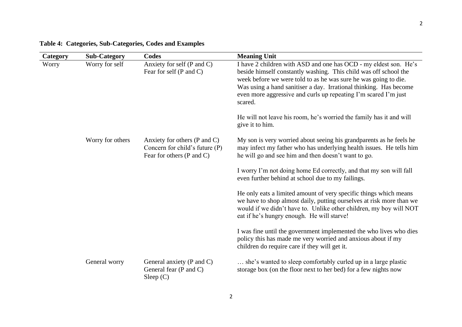| Category | <b>Sub-Category</b> | <b>Codes</b>                                                                                | <b>Meaning Unit</b>                                                                                                                                                                                                                                                                                                                                        |
|----------|---------------------|---------------------------------------------------------------------------------------------|------------------------------------------------------------------------------------------------------------------------------------------------------------------------------------------------------------------------------------------------------------------------------------------------------------------------------------------------------------|
| Worry    | Worry for self      | Anxiety for self (P and C)<br>Fear for self (P and C)                                       | I have 2 children with ASD and one has OCD - my eldest son. He's<br>beside himself constantly washing. This child was off school the<br>week before we were told to as he was sure he was going to die.<br>Was using a hand sanitiser a day. Irrational thinking. Has become<br>even more aggressive and curls up repeating I'm scared I'm just<br>scared. |
|          |                     |                                                                                             | He will not leave his room, he's worried the family has it and will<br>give it to him.                                                                                                                                                                                                                                                                     |
|          | Worry for others    | Anxiety for others (P and C)<br>Concern for child's future (P)<br>Fear for others (P and C) | My son is very worried about seeing his grandparents as he feels he<br>may infect my father who has underlying health issues. He tells him<br>he will go and see him and then doesn't want to go.                                                                                                                                                          |
|          |                     |                                                                                             | I worry I'm not doing home Ed correctly, and that my son will fall<br>even further behind at school due to my failings.                                                                                                                                                                                                                                    |
|          |                     |                                                                                             | He only eats a limited amount of very specific things which means<br>we have to shop almost daily, putting ourselves at risk more than we<br>would if we didn't have to. Unlike other children, my boy will NOT<br>eat if he's hungry enough. He will starve!                                                                                              |
|          |                     |                                                                                             | I was fine until the government implemented the who lives who dies<br>policy this has made me very worried and anxious about if my<br>children do require care if they will get it.                                                                                                                                                                        |
|          | General worry       | General anxiety (P and C)<br>General fear (P and C)<br>Sleep $(C)$                          | she's wanted to sleep comfortably curled up in a large plastic<br>storage box (on the floor next to her bed) for a few nights now                                                                                                                                                                                                                          |

**Table 4: Categories, Sub-Categories, Codes and Examples**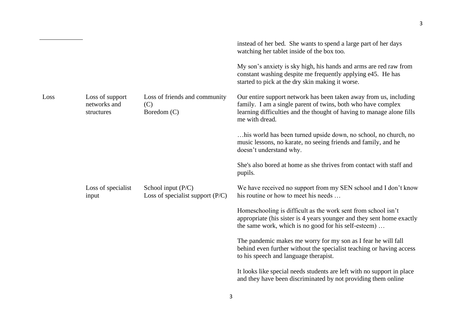|      |                                               |                                                            | instead of her bed. She wants to spend a large part of her days<br>watching her tablet inside of the box too.                                                                                                                |
|------|-----------------------------------------------|------------------------------------------------------------|------------------------------------------------------------------------------------------------------------------------------------------------------------------------------------------------------------------------------|
|      |                                               |                                                            | My son's anxiety is sky high, his hands and arms are red raw from<br>constant washing despite me frequently applying e45. He has<br>started to pick at the dry skin making it worse.                                         |
| Loss | Loss of support<br>networks and<br>structures | Loss of friends and community<br>(C)<br>Boredom (C)        | Our entire support network has been taken away from us, including<br>family. I am a single parent of twins, both who have complex<br>learning difficulties and the thought of having to manage alone fills<br>me with dread. |
|      |                                               |                                                            | his world has been turned upside down, no school, no church, no<br>music lessons, no karate, no seeing friends and family, and he<br>doesn't understand why.                                                                 |
|      |                                               |                                                            | She's also bored at home as she thrives from contact with staff and<br>pupils.                                                                                                                                               |
|      | Loss of specialist<br>input                   | School input $(P/C)$<br>Loss of specialist support $(P/C)$ | We have received no support from my SEN school and I don't know<br>his routine or how to meet his needs                                                                                                                      |
|      |                                               |                                                            | Homeschooling is difficult as the work sent from school isn't<br>appropriate (his sister is 4 years younger and they sent home exactly<br>the same work, which is no good for his self-esteem)                               |
|      |                                               |                                                            | The pandemic makes me worry for my son as I fear he will fall<br>behind even further without the specialist teaching or having access<br>to his speech and language therapist.                                               |
|      |                                               |                                                            | It looks like special needs students are left with no support in place<br>and they have been discriminated by not providing them online                                                                                      |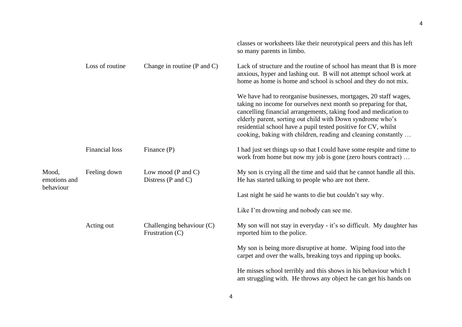|                       |                       |                                                     | classes or worksheets like their neurotypical peers and this has left<br>so many parents in limbo.                                                                                                                                                                                                                                                                                                         |
|-----------------------|-----------------------|-----------------------------------------------------|------------------------------------------------------------------------------------------------------------------------------------------------------------------------------------------------------------------------------------------------------------------------------------------------------------------------------------------------------------------------------------------------------------|
|                       | Loss of routine       | Change in routine $(P \text{ and } C)$              | Lack of structure and the routine of school has meant that B is more<br>anxious, hyper and lashing out. B will not attempt school work at<br>home as home is home and school is school and they do not mix.                                                                                                                                                                                                |
|                       |                       |                                                     | We have had to reorganise businesses, mortgages, 20 staff wages,<br>taking no income for ourselves next month so preparing for that,<br>cancelling financial arrangements, taking food and medication to<br>elderly parent, sorting out child with Down syndrome who's<br>residential school have a pupil tested positive for CV, whilst<br>cooking, baking with children, reading and cleaning constantly |
|                       | <b>Financial</b> loss | Finance (P)                                         | I had just set things up so that I could have some respite and time to<br>work from home but now my job is gone (zero hours contract)                                                                                                                                                                                                                                                                      |
| Mood,<br>emotions and | Feeling down          | Low mood $(P \text{ and } C)$<br>Distress (P and C) | My son is crying all the time and said that he cannot handle all this.<br>He has started talking to people who are not there.                                                                                                                                                                                                                                                                              |
| behaviour             |                       |                                                     | Last night he said he wants to die but couldn't say why.                                                                                                                                                                                                                                                                                                                                                   |
|                       |                       |                                                     | Like I'm drowning and nobody can see me.                                                                                                                                                                                                                                                                                                                                                                   |
|                       | Acting out            | Challenging behaviour (C)<br>Frustration (C)        | My son will not stay in everyday - it's so difficult. My daughter has<br>reported him to the police.                                                                                                                                                                                                                                                                                                       |
|                       |                       |                                                     | My son is being more disruptive at home. Wiping food into the<br>carpet and over the walls, breaking toys and ripping up books.                                                                                                                                                                                                                                                                            |
|                       |                       |                                                     | He misses school terribly and this shows in his behaviour which I<br>am struggling with. He throws any object he can get his hands on                                                                                                                                                                                                                                                                      |

4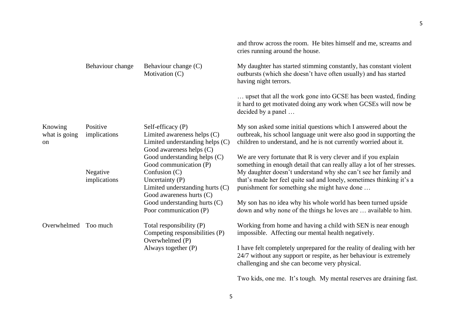|                                |                          |                                                                                                                 | and throw across the room. He bites himself and me, screams and<br>cries running around the house.                                                                                                         |
|--------------------------------|--------------------------|-----------------------------------------------------------------------------------------------------------------|------------------------------------------------------------------------------------------------------------------------------------------------------------------------------------------------------------|
|                                | Behaviour change         | Behaviour change (C)<br>Motivation (C)                                                                          | My daughter has started stimming constantly, has constant violent<br>outbursts (which she doesn't have often usually) and has started<br>having night terrors.                                             |
|                                |                          |                                                                                                                 | upset that all the work gone into GCSE has been wasted, finding<br>it hard to get motivated doing any work when GCSEs will now be<br>decided by a panel                                                    |
| Knowing<br>what is going<br>on | Positive<br>implications | Self-efficacy (P)<br>Limited awareness helps (C)<br>Limited understanding helps (C)<br>Good awareness helps (C) | My son asked some initial questions which I answered about the<br>outbreak, his school language unit were also good in supporting the<br>children to understand, and he is not currently worried about it. |
|                                |                          | Good understanding helps (C)<br>Good communication (P)                                                          | We are very fortunate that R is very clever and if you explain<br>something in enough detail that can really allay a lot of her stresses.                                                                  |
|                                | Negative<br>implications | Confusion $(C)$<br>Uncertainty $(P)$<br>Limited understanding hurts (C)<br>Good awareness hurts (C)             | My daughter doesn't understand why she can't see her family and<br>that's made her feel quite sad and lonely, sometimes thinking it's a<br>punishment for something she might have done                    |
|                                |                          | Good understanding hurts (C)<br>Poor communication (P)                                                          | My son has no idea why his whole world has been turned upside<br>down and why none of the things he loves are  available to him.                                                                           |
| Overwhelmed                    | Too much                 | Total responsibility (P)<br>Competing responsibilities (P)<br>Overwhelmed (P)                                   | Working from home and having a child with SEN is near enough<br>impossible. Affecting our mental health negatively.                                                                                        |
|                                |                          | Always together (P)                                                                                             | I have felt completely unprepared for the reality of dealing with her<br>24/7 without any support or respite, as her behaviour is extremely<br>challenging and she can become very physical.               |
|                                |                          |                                                                                                                 |                                                                                                                                                                                                            |

5